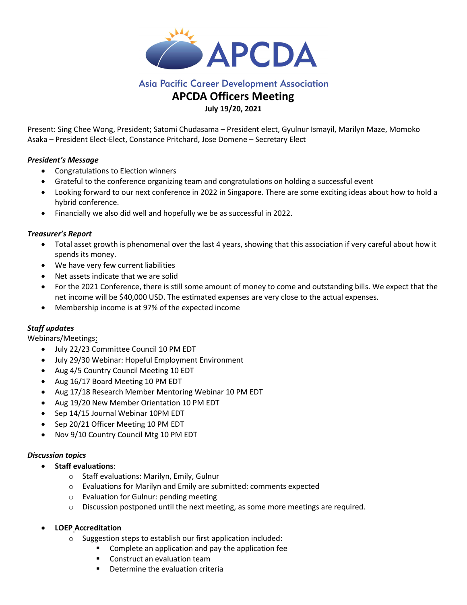

## **Asia Pacific Career Development Association**

# APCDA Officers Meeting

## July 19/20, 2021

Present: Sing Chee Wong, President; Satomi Chudasama – President elect, Gyulnur Ismayil, Marilyn Maze, Momoko Asaka – President Elect-Elect, Constance Pritchard, Jose Domene – Secretary Elect

## President's Message

- Congratulations to Election winners
- Grateful to the conference organizing team and congratulations on holding a successful event
- Looking forward to our next conference in 2022 in Singapore. There are some exciting ideas about how to hold a hybrid conference.
- Financially we also did well and hopefully we be as successful in 2022.

## Treasurer's Report

- Total asset growth is phenomenal over the last 4 years, showing that this association if very careful about how it spends its money.
- We have very few current liabilities
- Net assets indicate that we are solid
- For the 2021 Conference, there is still some amount of money to come and outstanding bills. We expect that the net income will be \$40,000 USD. The estimated expenses are very close to the actual expenses.
- Membership income is at 97% of the expected income

## Staff updates

Webinars/Meetings:

- July 22/23 Committee Council 10 PM EDT
- July 29/30 Webinar: Hopeful Employment Environment
- Aug 4/5 Country Council Meeting 10 EDT
- Aug 16/17 Board Meeting 10 PM EDT
- Aug 17/18 Research Member Mentoring Webinar 10 PM EDT
- Aug 19/20 New Member Orientation 10 PM EDT
- Sep 14/15 Journal Webinar 10PM EDT
- Sep 20/21 Officer Meeting 10 PM EDT
- Nov 9/10 Country Council Mtg 10 PM EDT

#### Discussion topics

- Staff evaluations:
	- o Staff evaluations: Marilyn, Emily, Gulnur
	- o Evaluations for Marilyn and Emily are submitted: comments expected
	- o Evaluation for Gulnur: pending meeting
	- $\circ$  Discussion postponed until the next meeting, as some more meetings are required.
- LOEP Accreditation
	- o Suggestion steps to establish our first application included:
		- **EXTER** Complete an application and pay the application fee
		- **EXECONDET CONSTRUCT AN EVALUATION TEAM**
		- **Determine the evaluation criteria**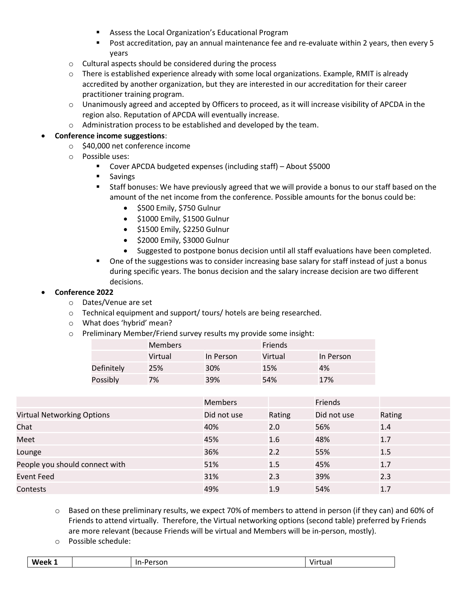- **Assess the Local Organization's Educational Program**
- Post accreditation, pay an annual maintenance fee and re-evaluate within 2 years, then every 5 years
- o Cultural aspects should be considered during the process
- $\circ$  There is established experience already with some local organizations. Example, RMIT is already accredited by another organization, but they are interested in our accreditation for their career practitioner training program.
- o Unanimously agreed and accepted by Officers to proceed, as it will increase visibility of APCDA in the region also. Reputation of APCDA will eventually increase.
- o Administration process to be established and developed by the team.

## Conference income suggestions:

- o \$40,000 net conference income
- o Possible uses:
	- Cover APCDA budgeted expenses (including staff) About \$5000
	- **Savings**
	- Staff bonuses: We have previously agreed that we will provide a bonus to our staff based on the amount of the net income from the conference. Possible amounts for the bonus could be:
		- $\bullet$  \$500 Emily, \$750 Gulnur
		- $\bullet$  \$1000 Emily, \$1500 Gulnur
		- $\bullet$  \$1500 Emily, \$2250 Gulnur
		- $\bullet$  \$2000 Emily, \$3000 Gulnur
		- Suggested to postpone bonus decision until all staff evaluations have been completed.
	- One of the suggestions was to consider increasing base salary for staff instead of just a bonus during specific years. The bonus decision and the salary increase decision are two different decisions.

#### Conference 2022

- o Dates/Venue are set
- o Technical equipment and support/ tours/ hotels are being researched.
- o What does 'hybrid' mean?
- o Preliminary Member/Friend survey results my provide some insight:

|            | <b>Members</b> |           | <b>Friends</b> |           |
|------------|----------------|-----------|----------------|-----------|
|            | Virtual        | In Person | Virtual        | In Person |
| Definitely | 25%            | 30%       | 15%            | 4%        |
| Possibly   | 7%             | 39%       | 54%            | 17%       |

|                                   | <b>Members</b> |        | Friends     |        |
|-----------------------------------|----------------|--------|-------------|--------|
| <b>Virtual Networking Options</b> | Did not use    | Rating | Did not use | Rating |
| Chat                              | 40%            | 2.0    | 56%         | 1.4    |
| Meet                              | 45%            | 1.6    | 48%         | 1.7    |
| Lounge                            | 36%            | 2.2    | 55%         | 1.5    |
| People you should connect with    | 51%            | 1.5    | 45%         | 1.7    |
| <b>Event Feed</b>                 | 31%            | 2.3    | 39%         | 2.3    |
| Contests                          | 49%            | 1.9    | 54%         | 1.7    |

- o Based on these preliminary results, we expect 70% of members to attend in person (if they can) and 60% of Friends to attend virtually. Therefore, the Virtual networking options (second table) preferred by Friends are more relevant (because Friends will be virtual and Members will be in-person, mostly).
- o Possible schedule:

| W<br><br>rson<br>.<br>$\sim$<br>ρk<br>v<br>wa<br>_____<br>.<br>______ |
|-----------------------------------------------------------------------|
|-----------------------------------------------------------------------|